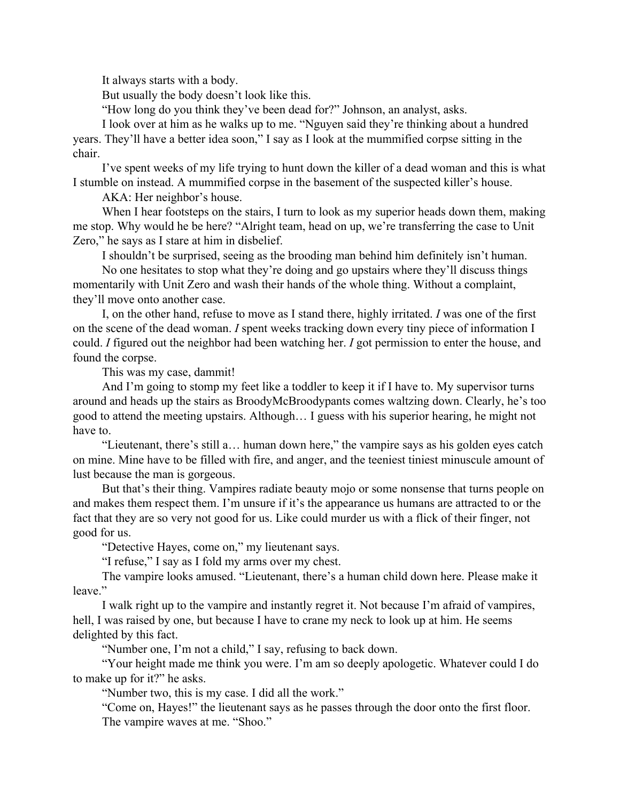It always starts with a body.

But usually the body doesn't look like this.

"How long do you think they've been dead for?" Johnson, an analyst, asks.

I look over at him as he walks up to me. "Nguyen said they're thinking about a hundred years. They'll have a better idea soon," I say as I look at the mummified corpse sitting in the chair.

I've spent weeks of my life trying to hunt down the killer of a dead woman and this is what I stumble on instead. A mummified corpse in the basement of the suspected killer's house.

AKA: Her neighbor's house.

When I hear footsteps on the stairs, I turn to look as my superior heads down them, making me stop. Why would he be here? "Alright team, head on up, we're transferring the case to Unit Zero," he says as I stare at him in disbelief.

I shouldn't be surprised, seeing as the brooding man behind him definitely isn't human.

No one hesitates to stop what they're doing and go upstairs where they'll discuss things momentarily with Unit Zero and wash their hands of the whole thing. Without a complaint, they'll move onto another case.

I, on the other hand, refuse to move as I stand there, highly irritated. *I* was one of the first on the scene of the dead woman. *I* spent weeks tracking down every tiny piece of information I could. *I* figured out the neighbor had been watching her. *I* got permission to enter the house, and found the corpse.

This was my case, dammit!

And I'm going to stomp my feet like a toddler to keep it if I have to. My supervisor turns around and heads up the stairs as BroodyMcBroodypants comes waltzing down. Clearly, he's too good to attend the meeting upstairs. Although… I guess with his superior hearing, he might not have to.

"Lieutenant, there's still a… human down here," the vampire says as his golden eyes catch on mine. Mine have to be filled with fire, and anger, and the teeniest tiniest minuscule amount of lust because the man is gorgeous.

But that's their thing. Vampires radiate beauty mojo or some nonsense that turns people on and makes them respect them. I'm unsure if it's the appearance us humans are attracted to or the fact that they are so very not good for us. Like could murder us with a flick of their finger, not good for us.

"Detective Hayes, come on," my lieutenant says.

"I refuse," I say as I fold my arms over my chest.

The vampire looks amused. "Lieutenant, there's a human child down here. Please make it leave."

I walk right up to the vampire and instantly regret it. Not because I'm afraid of vampires, hell, I was raised by one, but because I have to crane my neck to look up at him. He seems delighted by this fact.

"Number one, I'm not a child," I say, refusing to back down.

"Your height made me think you were. I'm am so deeply apologetic. Whatever could I do to make up for it?" he asks.

"Number two, this is my case. I did all the work."

"Come on, Hayes!" the lieutenant says as he passes through the door onto the first floor. The vampire waves at me. "Shoo."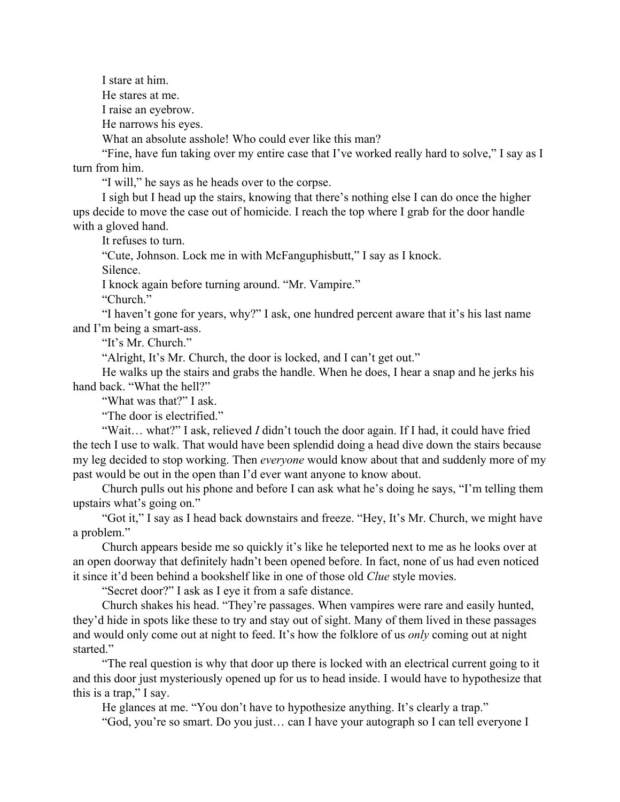I stare at him. He stares at me. I raise an eyebrow. He narrows his eyes.

What an absolute asshole! Who could ever like this man?

"Fine, have fun taking over my entire case that I've worked really hard to solve," I say as I turn from him.

"I will," he says as he heads over to the corpse.

I sigh but I head up the stairs, knowing that there's nothing else I can do once the higher ups decide to move the case out of homicide. I reach the top where I grab for the door handle with a gloved hand.

It refuses to turn.

"Cute, Johnson. Lock me in with McFanguphisbutt," I say as I knock.

Silence.

I knock again before turning around. "Mr. Vampire."

"Church."

"I haven't gone for years, why?" I ask, one hundred percent aware that it's his last name and I'm being a smart-ass.

"It's Mr. Church."

"Alright, It's Mr. Church, the door is locked, and I can't get out."

He walks up the stairs and grabs the handle. When he does, I hear a snap and he jerks his hand back. "What the hell?"

"What was that?" I ask.

"The door is electrified."

"Wait… what?" I ask, relieved *I* didn't touch the door again. If I had, it could have fried the tech I use to walk. That would have been splendid doing a head dive down the stairs because my leg decided to stop working. Then *everyone* would know about that and suddenly more of my past would be out in the open than I'd ever want anyone to know about.

Church pulls out his phone and before I can ask what he's doing he says, "I'm telling them upstairs what's going on."

"Got it," I say as I head back downstairs and freeze. "Hey, It's Mr. Church, we might have a problem."

Church appears beside me so quickly it's like he teleported next to me as he looks over at an open doorway that definitely hadn't been opened before. In fact, none of us had even noticed it since it'd been behind a bookshelf like in one of those old *Clue* style movies.

"Secret door?" I ask as I eye it from a safe distance.

Church shakes his head. "They're passages. When vampires were rare and easily hunted, they'd hide in spots like these to try and stay out of sight. Many of them lived in these passages and would only come out at night to feed. It's how the folklore of us *only* coming out at night started."

"The real question is why that door up there is locked with an electrical current going to it and this door just mysteriously opened up for us to head inside. I would have to hypothesize that this is a trap," I say.

He glances at me. "You don't have to hypothesize anything. It's clearly a trap."

"God, you're so smart. Do you just… can I have your autograph so I can tell everyone I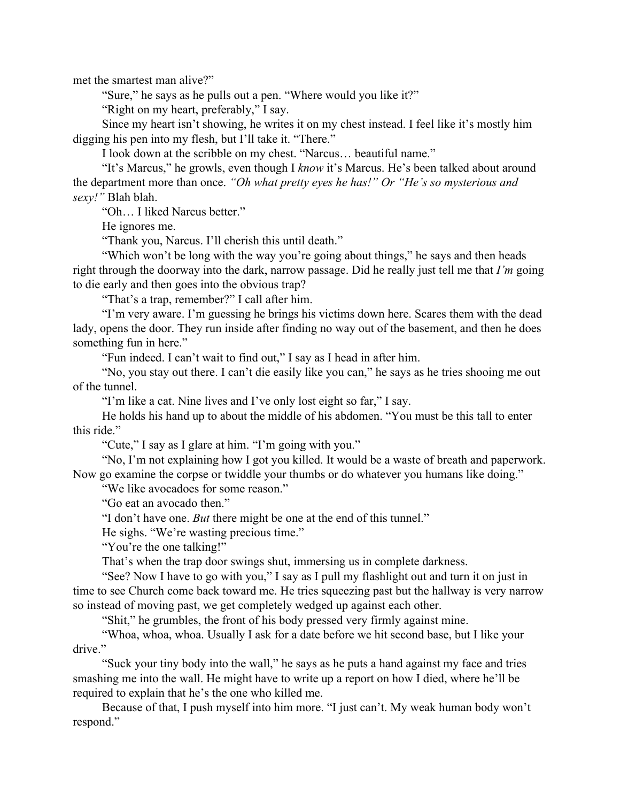met the smartest man alive?"

"Sure," he says as he pulls out a pen. "Where would you like it?"

"Right on my heart, preferably," I say.

Since my heart isn't showing, he writes it on my chest instead. I feel like it's mostly him digging his pen into my flesh, but I'll take it. "There."

I look down at the scribble on my chest. "Narcus… beautiful name."

"It's Marcus," he growls, even though I *know* it's Marcus. He's been talked about around the department more than once. *"Oh what pretty eyes he has!" Or "He's so mysterious and sexy!"* Blah blah.

"Oh… I liked Narcus better."

He ignores me.

"Thank you, Narcus. I'll cherish this until death."

"Which won't be long with the way you're going about things," he says and then heads right through the doorway into the dark, narrow passage. Did he really just tell me that *I'm* going to die early and then goes into the obvious trap?

"That's a trap, remember?" I call after him.

"I'm very aware. I'm guessing he brings his victims down here. Scares them with the dead lady, opens the door. They run inside after finding no way out of the basement, and then he does something fun in here."

"Fun indeed. I can't wait to find out," I say as I head in after him.

"No, you stay out there. I can't die easily like you can," he says as he tries shooing me out of the tunnel.

"I'm like a cat. Nine lives and I've only lost eight so far," I say.

He holds his hand up to about the middle of his abdomen. "You must be this tall to enter this ride."

"Cute," I say as I glare at him. "I'm going with you."

"No, I'm not explaining how I got you killed. It would be a waste of breath and paperwork. Now go examine the corpse or twiddle your thumbs or do whatever you humans like doing."

"We like avocadoes for some reason."

"Go eat an avocado then."

"I don't have one. *But* there might be one at the end of this tunnel."

He sighs. "We're wasting precious time."

"You're the one talking!"

That's when the trap door swings shut, immersing us in complete darkness.

"See? Now I have to go with you," I say as I pull my flashlight out and turn it on just in time to see Church come back toward me. He tries squeezing past but the hallway is very narrow so instead of moving past, we get completely wedged up against each other.

"Shit," he grumbles, the front of his body pressed very firmly against mine.

"Whoa, whoa, whoa. Usually I ask for a date before we hit second base, but I like your drive."

"Suck your tiny body into the wall," he says as he puts a hand against my face and tries smashing me into the wall. He might have to write up a report on how I died, where he'll be required to explain that he's the one who killed me.

Because of that, I push myself into him more. "I just can't. My weak human body won't respond."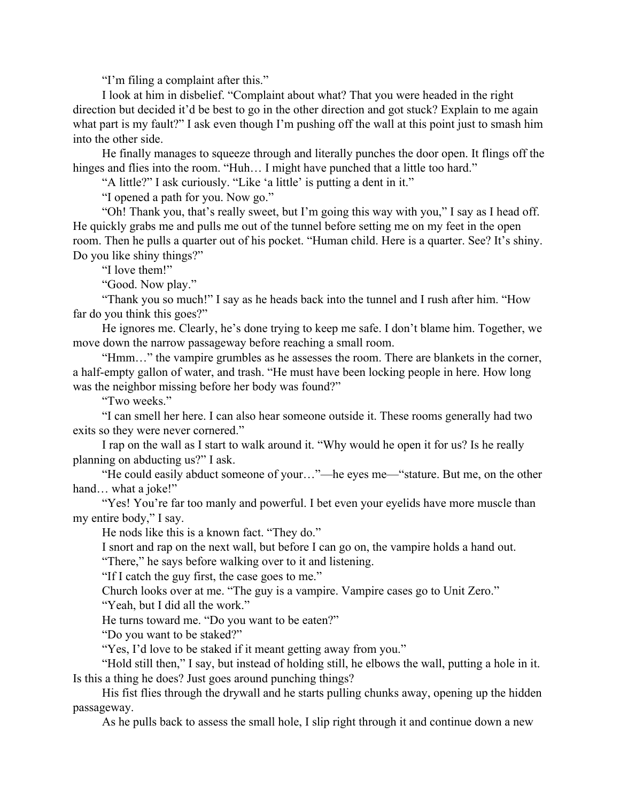"I'm filing a complaint after this."

I look at him in disbelief. "Complaint about what? That you were headed in the right direction but decided it'd be best to go in the other direction and got stuck? Explain to me again what part is my fault?" I ask even though I'm pushing off the wall at this point just to smash him into the other side.

He finally manages to squeeze through and literally punches the door open. It flings off the hinges and flies into the room. "Huh... I might have punched that a little too hard."

"A little?" I ask curiously. "Like 'a little' is putting a dent in it."

"I opened a path for you. Now go."

"Oh! Thank you, that's really sweet, but I'm going this way with you," I say as I head off. He quickly grabs me and pulls me out of the tunnel before setting me on my feet in the open room. Then he pulls a quarter out of his pocket. "Human child. Here is a quarter. See? It's shiny. Do you like shiny things?"

"I love them!"

"Good. Now play."

"Thank you so much!" I say as he heads back into the tunnel and I rush after him. "How far do you think this goes?"

He ignores me. Clearly, he's done trying to keep me safe. I don't blame him. Together, we move down the narrow passageway before reaching a small room.

"Hmm…" the vampire grumbles as he assesses the room. There are blankets in the corner, a half-empty gallon of water, and trash. "He must have been locking people in here. How long was the neighbor missing before her body was found?"

"Two weeks."

"I can smell her here. I can also hear someone outside it. These rooms generally had two exits so they were never cornered."

I rap on the wall as I start to walk around it. "Why would he open it for us? Is he really planning on abducting us?" I ask.

"He could easily abduct someone of your…"—he eyes me—"stature. But me, on the other hand... what a joke!"

"Yes! You're far too manly and powerful. I bet even your eyelids have more muscle than my entire body," I say.

He nods like this is a known fact. "They do."

I snort and rap on the next wall, but before I can go on, the vampire holds a hand out.

"There," he says before walking over to it and listening.

"If I catch the guy first, the case goes to me."

Church looks over at me. "The guy is a vampire. Vampire cases go to Unit Zero." "Yeah, but I did all the work."

He turns toward me. "Do you want to be eaten?"

"Do you want to be staked?"

"Yes, I'd love to be staked if it meant getting away from you."

"Hold still then," I say, but instead of holding still, he elbows the wall, putting a hole in it. Is this a thing he does? Just goes around punching things?

His fist flies through the drywall and he starts pulling chunks away, opening up the hidden passageway.

As he pulls back to assess the small hole, I slip right through it and continue down a new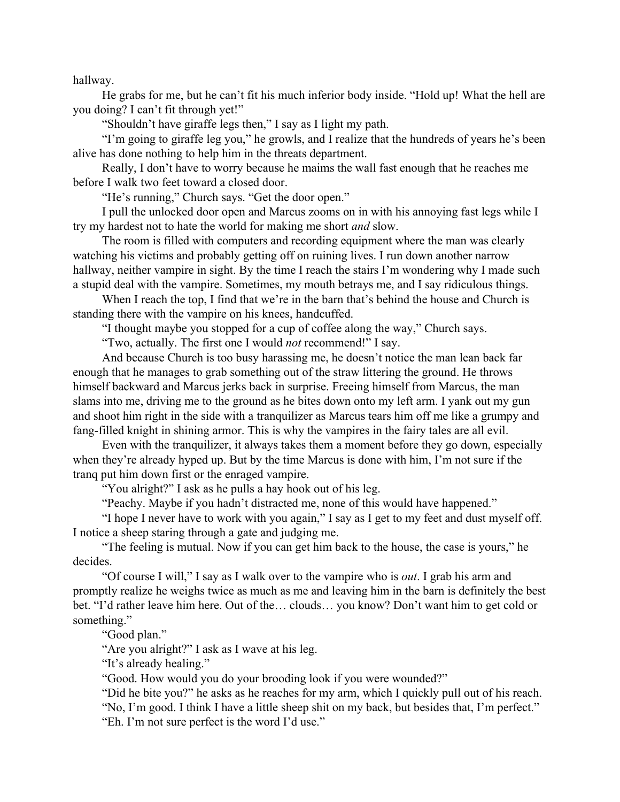hallway.

He grabs for me, but he can't fit his much inferior body inside. "Hold up! What the hell are you doing? I can't fit through yet!"

"Shouldn't have giraffe legs then," I say as I light my path.

"I'm going to giraffe leg you," he growls, and I realize that the hundreds of years he's been alive has done nothing to help him in the threats department.

Really, I don't have to worry because he maims the wall fast enough that he reaches me before I walk two feet toward a closed door.

"He's running," Church says. "Get the door open."

I pull the unlocked door open and Marcus zooms on in with his annoying fast legs while I try my hardest not to hate the world for making me short *and* slow.

The room is filled with computers and recording equipment where the man was clearly watching his victims and probably getting off on ruining lives. I run down another narrow hallway, neither vampire in sight. By the time I reach the stairs I'm wondering why I made such a stupid deal with the vampire. Sometimes, my mouth betrays me, and I say ridiculous things.

When I reach the top, I find that we're in the barn that's behind the house and Church is standing there with the vampire on his knees, handcuffed.

"I thought maybe you stopped for a cup of coffee along the way," Church says.

"Two, actually. The first one I would *not* recommend!" I say.

And because Church is too busy harassing me, he doesn't notice the man lean back far enough that he manages to grab something out of the straw littering the ground. He throws himself backward and Marcus jerks back in surprise. Freeing himself from Marcus, the man slams into me, driving me to the ground as he bites down onto my left arm. I yank out my gun and shoot him right in the side with a tranquilizer as Marcus tears him off me like a grumpy and fang-filled knight in shining armor. This is why the vampires in the fairy tales are all evil.

Even with the tranquilizer, it always takes them a moment before they go down, especially when they're already hyped up. But by the time Marcus is done with him, I'm not sure if the tranq put him down first or the enraged vampire.

"You alright?" I ask as he pulls a hay hook out of his leg.

"Peachy. Maybe if you hadn't distracted me, none of this would have happened."

"I hope I never have to work with you again," I say as I get to my feet and dust myself off. I notice a sheep staring through a gate and judging me.

"The feeling is mutual. Now if you can get him back to the house, the case is yours," he decides.

"Of course I will," I say as I walk over to the vampire who is *out*. I grab his arm and promptly realize he weighs twice as much as me and leaving him in the barn is definitely the best bet. "I'd rather leave him here. Out of the… clouds… you know? Don't want him to get cold or something."

"Good plan."

"Are you alright?" I ask as I wave at his leg.

"It's already healing."

"Good. How would you do your brooding look if you were wounded?"

"Did he bite you?" he asks as he reaches for my arm, which I quickly pull out of his reach.

"No, I'm good. I think I have a little sheep shit on my back, but besides that, I'm perfect."

"Eh. I'm not sure perfect is the word I'd use."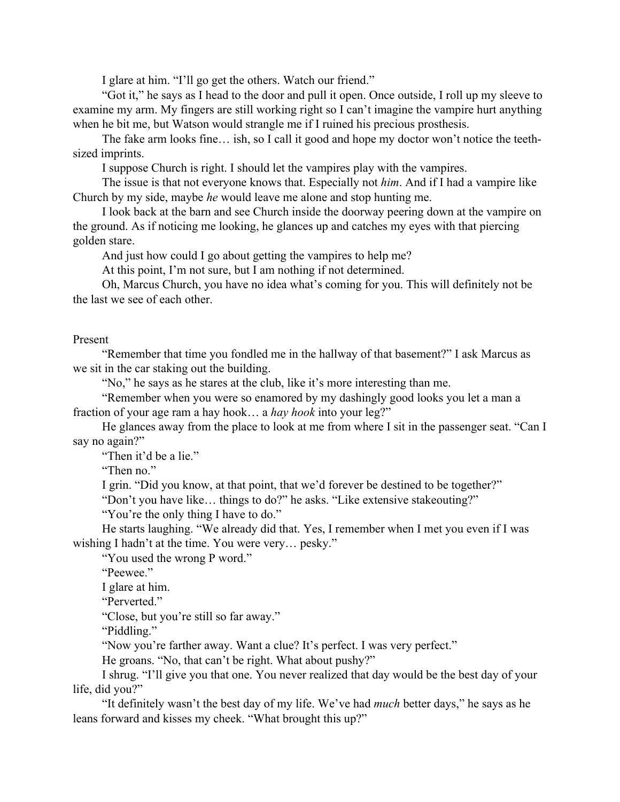I glare at him. "I'll go get the others. Watch our friend."

"Got it," he says as I head to the door and pull it open. Once outside, I roll up my sleeve to examine my arm. My fingers are still working right so I can't imagine the vampire hurt anything when he bit me, but Watson would strangle me if I ruined his precious prosthesis.

The fake arm looks fine… ish, so I call it good and hope my doctor won't notice the teethsized imprints.

I suppose Church is right. I should let the vampires play with the vampires.

The issue is that not everyone knows that. Especially not *him*. And if I had a vampire like Church by my side, maybe *he* would leave me alone and stop hunting me.

I look back at the barn and see Church inside the doorway peering down at the vampire on the ground. As if noticing me looking, he glances up and catches my eyes with that piercing golden stare.

And just how could I go about getting the vampires to help me?

At this point, I'm not sure, but I am nothing if not determined.

Oh, Marcus Church, you have no idea what's coming for you. This will definitely not be the last we see of each other.

## Present

"Remember that time you fondled me in the hallway of that basement?" I ask Marcus as we sit in the car staking out the building.

"No," he says as he stares at the club, like it's more interesting than me.

"Remember when you were so enamored by my dashingly good looks you let a man a fraction of your age ram a hay hook… a *hay hook* into your leg?"

He glances away from the place to look at me from where I sit in the passenger seat. "Can I say no again?"

"Then it'd be a lie."

"Then no."

I grin. "Did you know, at that point, that we'd forever be destined to be together?"

"Don't you have like… things to do?" he asks. "Like extensive stakeouting?"

"You're the only thing I have to do."

He starts laughing. "We already did that. Yes, I remember when I met you even if I was wishing I hadn't at the time. You were very… pesky."

"You used the wrong P word."

"Peewee."

I glare at him.

"Perverted."

"Close, but you're still so far away."

"Piddling."

"Now you're farther away. Want a clue? It's perfect. I was very perfect."

He groans. "No, that can't be right. What about pushy?"

I shrug. "I'll give you that one. You never realized that day would be the best day of your life, did you?"

"It definitely wasn't the best day of my life. We've had *much* better days," he says as he leans forward and kisses my cheek. "What brought this up?"